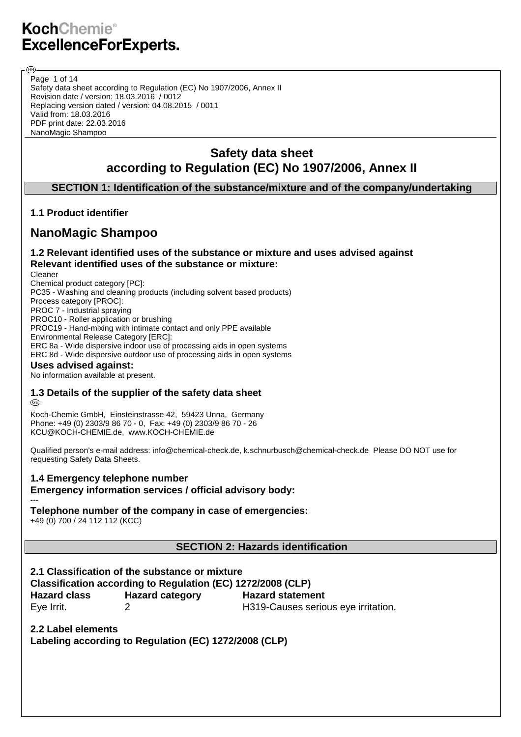Page 1 of 14

അ

Safety data sheet according to Regulation (EC) No 1907/2006, Annex II Revision date / version: 18.03.2016 / 0012 Replacing version dated / version: 04.08.2015 / 0011 Valid from: 18.03.2016 PDF print date: 22.03.2016 NanoMagic Shampoo

## **Safety data sheet according to Regulation (EC) No 1907/2006, Annex II**

## **SECTION 1: Identification of the substance/mixture and of the company/undertaking**

## **1.1 Product identifier**

## **NanoMagic Shampoo**

## **1.2 Relevant identified uses of the substance or mixture and uses advised against Relevant identified uses of the substance or mixture:**

Cleaner Chemical product category [PC]: PC35 - Washing and cleaning products (including solvent based products) Process category [PROC]: PROC 7 - Industrial spraying PROC10 - Roller application or brushing PROC19 - Hand-mixing with intimate contact and only PPE available Environmental Release Category [ERC]: ERC 8a - Wide dispersive indoor use of processing aids in open systems ERC 8d - Wide dispersive outdoor use of processing aids in open systems

#### **Uses advised against:**

No information available at present.

## **1.3 Details of the supplier of the safety data sheet**

@

Koch-Chemie GmbH, Einsteinstrasse 42, 59423 Unna, Germany Phone: +49 (0) 2303/9 86 70 - 0, Fax: +49 (0) 2303/9 86 70 - 26 KCU@KOCH-CHEMIE.de, www.KOCH-CHEMIE.de

Qualified person's e-mail address: info@chemical-check.de, k.schnurbusch@chemical-check.de Please DO NOT use for requesting Safety Data Sheets.

#### **1.4 Emergency telephone number**

**Emergency information services / official advisory body:**

#### --- **Telephone number of the company in case of emergencies:**

+49 (0) 700 / 24 112 112 (KCC)

**SECTION 2: Hazards identification**

**2.1 Classification of the substance or mixture Classification according to Regulation (EC) 1272/2008 (CLP) Hazard class Hazard category Hazard statement** Eye Irrit. 2 H319-Causes serious eye irritation.

**2.2 Label elements Labeling according to Regulation (EC) 1272/2008 (CLP)**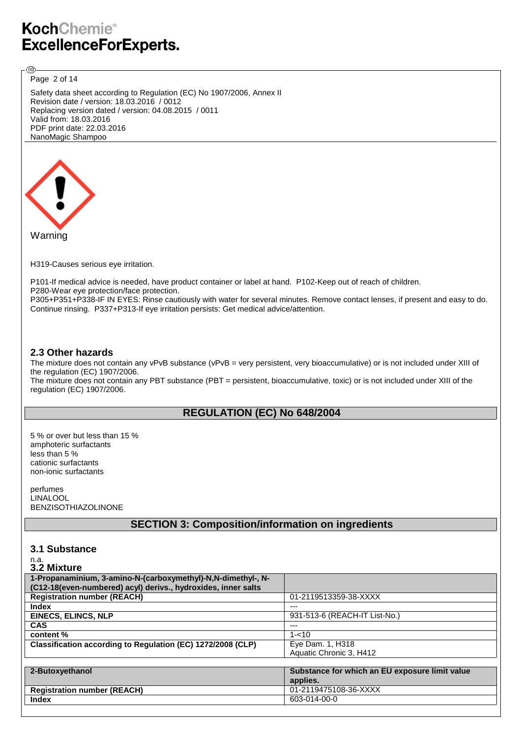Page 2 of 14

®

Safety data sheet according to Regulation (EC) No 1907/2006, Annex II Revision date / version: 18.03.2016 / 0012 Replacing version dated / version: 04.08.2015 / 0011 Valid from: 18.03.2016 PDF print date: 22.03.2016 NanoMagic Shampoo



H319-Causes serious eye irritation.

P101-If medical advice is needed, have product container or label at hand. P102-Keep out of reach of children. P280-Wear eye protection/face protection. P305+P351+P338-IF IN EYES: Rinse cautiously with water for several minutes. Remove contact lenses, if present and easy to do. Continue rinsing. P337+P313-If eye irritation persists: Get medical advice/attention.

#### **2.3 Other hazards**

The mixture does not contain any vPvB substance (vPvB = very persistent, very bioaccumulative) or is not included under XIII of the regulation (EC) 1907/2006.

The mixture does not contain any PBT substance (PBT = persistent, bioaccumulative, toxic) or is not included under XIII of the regulation (EC) 1907/2006.

## **REGULATION (EC) No 648/2004**

5 % or over but less than 15 % amphoteric surfactants less than 5 % cationic surfactants non-ionic surfactants

perfumes LINALOOL BENZISOTHIAZOLINONE

## **SECTION 3: Composition/information on ingredients**

#### **3.1 Substance**

n.a.

| 3.2 Mixture                                                   |                                                |
|---------------------------------------------------------------|------------------------------------------------|
| 1-Propanaminium, 3-amino-N-(carboxymethyl)-N,N-dimethyl-, N-  |                                                |
| (C12-18(even-numbered) acyl) derivs., hydroxides, inner salts |                                                |
| <b>Registration number (REACH)</b>                            | 01-2119513359-38-XXXX                          |
| <b>Index</b>                                                  | ---                                            |
| EINECS, ELINCS, NLP                                           | 931-513-6 (REACH-IT List-No.)                  |
| <b>CAS</b>                                                    | ---                                            |
| content %                                                     | $1 - 10$                                       |
| Classification according to Regulation (EC) 1272/2008 (CLP)   | Eye Dam. 1, H318                               |
|                                                               | Aquatic Chronic 3, H412                        |
|                                                               |                                                |
| 2-Butoxyethanol                                               | Substance for which an EU exposure limit value |
|                                                               | applies.                                       |
| <b>Registration number (REACH)</b>                            | 01-2119475108-36-XXXX                          |
| <b>Index</b>                                                  | 603-014-00-0                                   |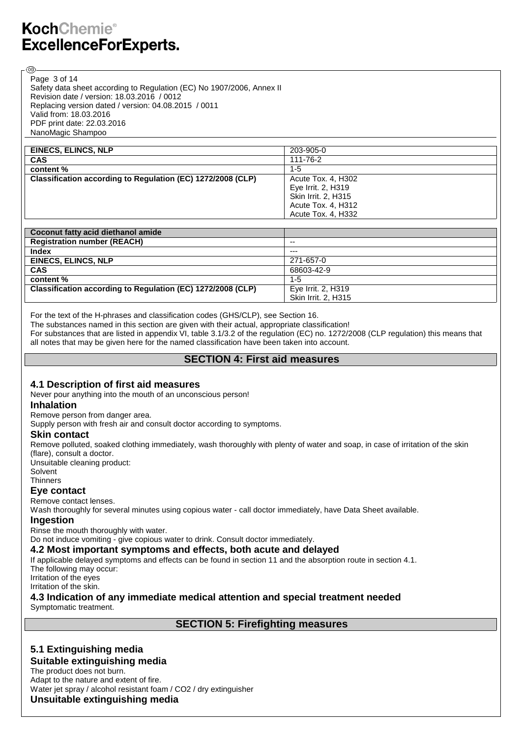Page 3 of 14

@

Safety data sheet according to Regulation (EC) No 1907/2006, Annex II Revision date / version: 18.03.2016 / 0012 Replacing version dated / version: 04.08.2015 / 0011 Valid from: 18.03.2016 PDF print date: 22.03.2016 NanoMagic Shampoo

| <b>EINECS, ELINCS, NLP</b>                                  | 203-905-0           |
|-------------------------------------------------------------|---------------------|
| <b>CAS</b>                                                  | 111-76-2            |
| content %                                                   | $1 - 5$             |
| Classification according to Regulation (EC) 1272/2008 (CLP) | Acute Tox. 4, H302  |
|                                                             | Eye Irrit. 2, H319  |
|                                                             | Skin Irrit. 2, H315 |
|                                                             | Acute Tox. 4, H312  |
|                                                             | Acute Tox. 4, H332  |

| Coconut fatty acid diethanol amide                          |                     |
|-------------------------------------------------------------|---------------------|
| <b>Registration number (REACH)</b>                          | --                  |
| <b>Index</b>                                                | $---$               |
| EINECS, ELINCS, NLP                                         | 271-657-0           |
| <b>CAS</b>                                                  | 68603-42-9          |
| content %                                                   | $1 - 5$             |
| Classification according to Regulation (EC) 1272/2008 (CLP) | Eye Irrit. 2, H319  |
|                                                             | Skin Irrit. 2, H315 |

For the text of the H-phrases and classification codes (GHS/CLP), see Section 16.

The substances named in this section are given with their actual, appropriate classification!

For substances that are listed in appendix VI, table 3.1/3.2 of the regulation (EC) no. 1272/2008 (CLP regulation) this means that all notes that may be given here for the named classification have been taken into account.

## **SECTION 4: First aid measures**

## **4.1 Description of first aid measures**

Never pour anything into the mouth of an unconscious person!

#### **Inhalation**

Remove person from danger area.

Supply person with fresh air and consult doctor according to symptoms.

#### **Skin contact**

Remove polluted, soaked clothing immediately, wash thoroughly with plenty of water and soap, in case of irritation of the skin (flare), consult a doctor.

Unsuitable cleaning product: Solvent **Thinners** 

## **Eye contact**

## Remove contact lenses.

Wash thoroughly for several minutes using copious water - call doctor immediately, have Data Sheet available.

#### **Ingestion**

Rinse the mouth thoroughly with water.

Do not induce vomiting - give copious water to drink. Consult doctor immediately.

## **4.2 Most important symptoms and effects, both acute and delayed**

If applicable delayed symptoms and effects can be found in section 11 and the absorption route in section 4.1. The following may occur:

Irritation of the eyes Irritation of the skin.

## **4.3 Indication of any immediate medical attention and special treatment needed**

Symptomatic treatment.

**SECTION 5: Firefighting measures**

## **5.1 Extinguishing media**

#### **Suitable extinguishing media**

The product does not burn. Adapt to the nature and extent of fire. Water jet spray / alcohol resistant foam / CO2 / dry extinguisher **Unsuitable extinguishing media**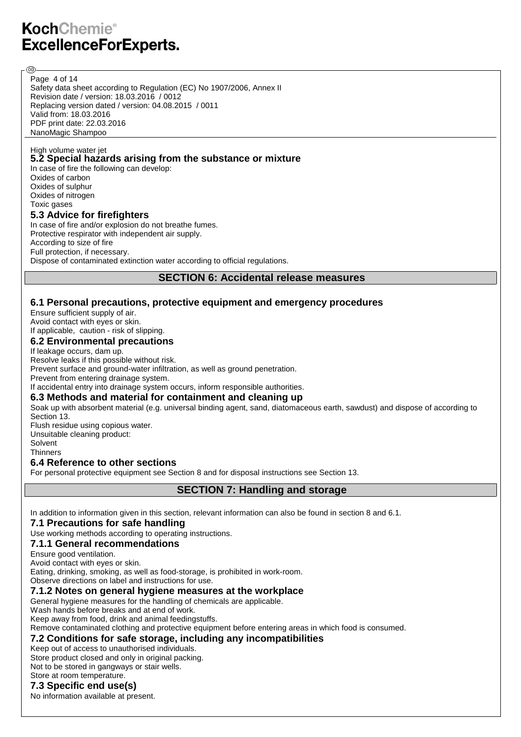Page 4 of 14

@

Safety data sheet according to Regulation (EC) No 1907/2006, Annex II Revision date / version: 18.03.2016 / 0012 Replacing version dated / version: 04.08.2015 / 0011 Valid from: 18.03.2016 PDF print date: 22.03.2016 NanoMagic Shampoo

#### High volume water jet **5.2 Special hazards arising from the substance or mixture**

In case of fire the following can develop: Oxides of carbon Oxides of sulphur Oxides of nitrogen Toxic gases **5.3 Advice for firefighters** In case of fire and/or explosion do not breathe fumes. Protective respirator with independent air supply. According to size of fire Full protection, if necessary. Dispose of contaminated extinction water according to official regulations.

**SECTION 6: Accidental release measures**

## **6.1 Personal precautions, protective equipment and emergency procedures**

Ensure sufficient supply of air. Avoid contact with eyes or skin. If applicable, caution - risk of slipping.

### **6.2 Environmental precautions**

If leakage occurs, dam up.

Resolve leaks if this possible without risk.

Prevent surface and ground-water infiltration, as well as ground penetration.

Prevent from entering drainage system.

If accidental entry into drainage system occurs, inform responsible authorities.

#### **6.3 Methods and material for containment and cleaning up**

Soak up with absorbent material (e.g. universal binding agent, sand, diatomaceous earth, sawdust) and dispose of according to Section 13. Flush residue using copious water.

Unsuitable cleaning product: Solvent

**Thinners** 

#### **6.4 Reference to other sections**

For personal protective equipment see Section 8 and for disposal instructions see Section 13.

**SECTION 7: Handling and storage**

In addition to information given in this section, relevant information can also be found in section 8 and 6.1.

#### **7.1 Precautions for safe handling**

Use working methods according to operating instructions.

#### **7.1.1 General recommendations**

Ensure good ventilation.

Avoid contact with eyes or skin. Eating, drinking, smoking, as well as food-storage, is prohibited in work-room. Observe directions on label and instructions for use.

#### **7.1.2 Notes on general hygiene measures at the workplace**

General hygiene measures for the handling of chemicals are applicable. Wash hands before breaks and at end of work.

Keep away from food, drink and animal feedingstuffs.

Remove contaminated clothing and protective equipment before entering areas in which food is consumed.

## **7.2 Conditions for safe storage, including any incompatibilities**

Keep out of access to unauthorised individuals. Store product closed and only in original packing. Not to be stored in gangways or stair wells. Store at room temperature.

## **7.3 Specific end use(s)**

No information available at present.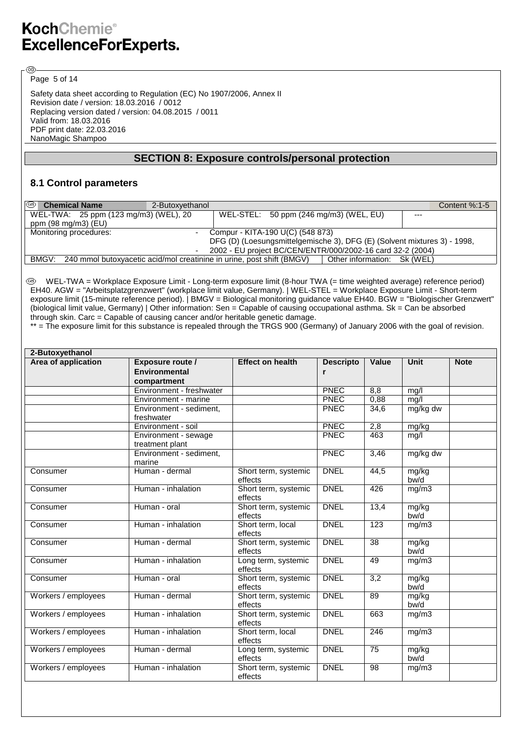Page 5 of 14

®

Safety data sheet according to Regulation (EC) No 1907/2006, Annex II Revision date / version: 18.03.2016 / 0012 Replacing version dated / version: 04.08.2015 / 0011 Valid from: 18.03.2016 PDF print date: 22.03.2016 NanoMagic Shampoo

## **SECTION 8: Exposure controls/personal protection**

### **8.1 Control parameters**

| $\circledcirc$<br><b>Chemical Name</b> | 2-Butoxyethanol                                                                                            | Content $%:1-5$ |
|----------------------------------------|------------------------------------------------------------------------------------------------------------|-----------------|
| WEL-TWA: 25 ppm (123 mg/m3) (WEL), 20  | WEL-STEL: 50 ppm (246 mg/m3) (WEL, EU)<br>$--$                                                             |                 |
| ppm (98 mg/m3) (EU)                    |                                                                                                            |                 |
| Monitoring procedures:                 | Compur - KITA-190 U(C) (548 873)                                                                           |                 |
|                                        | DFG (D) (Loesungsmittelgemische 3), DFG (E) (Solvent mixtures 3) - 1998,                                   |                 |
|                                        | 2002 - EU project BC/CEN/ENTR/000/2002-16 card 32-2 (2004)                                                 |                 |
|                                        | BMGV: 240 mmol butoxyacetic acid/mol creatinine in urine, post shift (BMGV)<br>Other information: Sk (WEL) |                 |

 WEL-TWA = Workplace Exposure Limit - Long-term exposure limit (8-hour TWA (= time weighted average) reference period) EH40. AGW = "Arbeitsplatzgrenzwert" (workplace limit value, Germany). | WEL-STEL = Workplace Exposure Limit - Short-term exposure limit (15-minute reference period). | BMGV = Biological monitoring guidance value EH40. BGW = "Biologischer Grenzwert" (biological limit value, Germany) | Other information: Sen = Capable of causing occupational asthma. Sk = Can be absorbed through skin. Carc = Capable of causing cancer and/or heritable genetic damage.

\*\* = The exposure limit for this substance is repealed through the TRGS 900 (Germany) of January 2006 with the goal of revision.

| 2-Butoxyethanol     |                                                                |                                 |                  |       |               |             |
|---------------------|----------------------------------------------------------------|---------------------------------|------------------|-------|---------------|-------------|
| Area of application | <b>Exposure route /</b><br><b>Environmental</b><br>compartment | <b>Effect on health</b>         | <b>Descripto</b> | Value | <b>Unit</b>   | <b>Note</b> |
|                     | Environment - freshwater                                       |                                 | <b>PNEC</b>      | 8,8   | mg/l          |             |
|                     | Environment - marine                                           |                                 | <b>PNEC</b>      | 0,88  | mg/l          |             |
|                     | Environment - sediment,<br>freshwater                          |                                 | <b>PNEC</b>      | 34,6  | mg/kg dw      |             |
|                     | Environment - soil                                             |                                 | <b>PNEC</b>      | 2,8   | mg/kg         |             |
|                     | Environment - sewage<br>treatment plant                        |                                 | <b>PNEC</b>      | 463   | mg/l          |             |
|                     | Environment - sediment,<br>marine                              |                                 | <b>PNEC</b>      | 3,46  | mg/kg dw      |             |
| Consumer            | Human - dermal                                                 | Short term, systemic<br>effects | <b>DNEL</b>      | 44,5  | mg/kg<br>bw/d |             |
| Consumer            | Human - inhalation                                             | Short term, systemic<br>effects | <b>DNEL</b>      | 426   | mg/m3         |             |
| Consumer            | Human - oral                                                   | Short term, systemic<br>effects | <b>DNEL</b>      | 13,4  | mg/kg<br>bw/d |             |
| Consumer            | Human - inhalation                                             | Short term, local<br>effects    | <b>DNEL</b>      | 123   | mg/m3         |             |
| Consumer            | Human - dermal                                                 | Short term, systemic<br>effects | <b>DNEL</b>      | 38    | mg/kg<br>bw/d |             |
| Consumer            | Human - inhalation                                             | Long term, systemic<br>effects  | <b>DNEL</b>      | 49    | mg/m3         |             |
| Consumer            | Human - oral                                                   | Short term, systemic<br>effects | <b>DNEL</b>      | 3,2   | mg/kg<br>bw/d |             |
| Workers / employees | Human - dermal                                                 | Short term, systemic<br>effects | <b>DNEL</b>      | 89    | mg/kg<br>bw/d |             |
| Workers / employees | Human - inhalation                                             | Short term, systemic<br>effects | <b>DNEL</b>      | 663   | mg/m3         |             |
| Workers / employees | Human - inhalation                                             | Short term, local<br>effects    | <b>DNEL</b>      | 246   | mg/m3         |             |
| Workers / employees | Human - dermal                                                 | Long term, systemic<br>effects  | <b>DNEL</b>      | 75    | mg/kg<br>bw/d |             |
| Workers / employees | Human - inhalation                                             | Short term, systemic<br>effects | <b>DNEL</b>      | 98    | mg/m3         |             |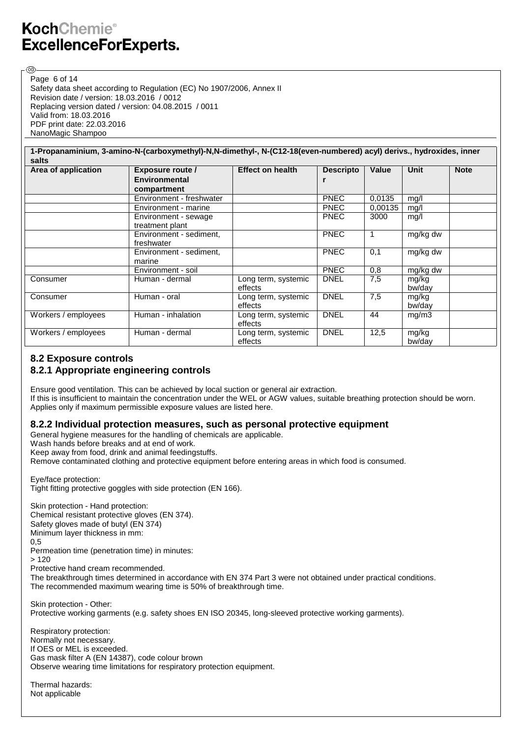@

Safety data sheet according to Regulation (EC) No 1907/2006, Annex II Revision date / version: 18.03.2016 / 0012 Replacing version dated / version: 04.08.2015 / 0011 Valid from: 18.03.2016 PDF print date: 22.03.2016 NanoMagic Shampoo Page 6 of 14

|                              | 1-Propanaminium, 3-amino-N-(carboxymethyl)-N,N-dimethyl-, N-(C12-18(even-numbered) acyl) derivs., hydroxides, inner |                                |                       |         |                 |             |
|------------------------------|---------------------------------------------------------------------------------------------------------------------|--------------------------------|-----------------------|---------|-----------------|-------------|
| salts<br>Area of application | <b>Exposure route /</b><br><b>Environmental</b><br>compartment                                                      | <b>Effect on health</b>        | <b>Descripto</b><br>r | Value   | Unit            | <b>Note</b> |
|                              | Environment - freshwater                                                                                            |                                | <b>PNEC</b>           | 0.0135  | mg/l            |             |
|                              | Environment - marine                                                                                                |                                | <b>PNEC</b>           | 0.00135 | mg/l            |             |
|                              | Environment - sewage<br>treatment plant                                                                             |                                | <b>PNEC</b>           | 3000    | mg/l            |             |
|                              | Environment - sediment,<br>freshwater                                                                               |                                | <b>PNEC</b>           |         | mg/kg dw        |             |
|                              | Environment - sediment,<br>marine                                                                                   |                                | <b>PNEC</b>           | 0,1     | mg/kg dw        |             |
|                              | Environment - soil                                                                                                  |                                | <b>PNEC</b>           | 0,8     | mg/kg dw        |             |
| Consumer                     | Human - dermal                                                                                                      | Long term, systemic<br>effects | <b>DNEL</b>           | 7,5     | mg/kg<br>bw/day |             |
| Consumer                     | Human - oral                                                                                                        | Long term, systemic<br>effects | <b>DNEL</b>           | 7,5     | mg/kg<br>bw/day |             |
| Workers / employees          | Human - inhalation                                                                                                  | Long term, systemic<br>effects | <b>DNEL</b>           | 44      | mg/m3           |             |
| Workers / employees          | Human - dermal                                                                                                      | Long term, systemic<br>effects | <b>DNEL</b>           | 12,5    | mg/kg<br>bw/day |             |

## **8.2 Exposure controls**

## **8.2.1 Appropriate engineering controls**

Ensure good ventilation. This can be achieved by local suction or general air extraction. If this is insufficient to maintain the concentration under the WEL or AGW values, suitable breathing protection should be worn. Applies only if maximum permissible exposure values are listed here.

## **8.2.2 Individual protection measures, such as personal protective equipment**

General hygiene measures for the handling of chemicals are applicable.

Wash hands before breaks and at end of work.

Keep away from food, drink and animal feedingstuffs.

Remove contaminated clothing and protective equipment before entering areas in which food is consumed.

Eye/face protection: Tight fitting protective goggles with side protection (EN 166).

Skin protection - Hand protection: Chemical resistant protective gloves (EN 374). Safety gloves made of butyl (EN 374) Minimum layer thickness in mm: 0,5 Permeation time (penetration time) in minutes: > 120 Protective hand cream recommended. The breakthrough times determined in accordance with EN 374 Part 3 were not obtained under practical conditions. The recommended maximum wearing time is 50% of breakthrough time. Skin protection - Other:

Protective working garments (e.g. safety shoes EN ISO 20345, long-sleeved protective working garments).

Respiratory protection: Normally not necessary. If OES or MEL is exceeded. Gas mask filter A (EN 14387), code colour brown Observe wearing time limitations for respiratory protection equipment.

Thermal hazards: Not applicable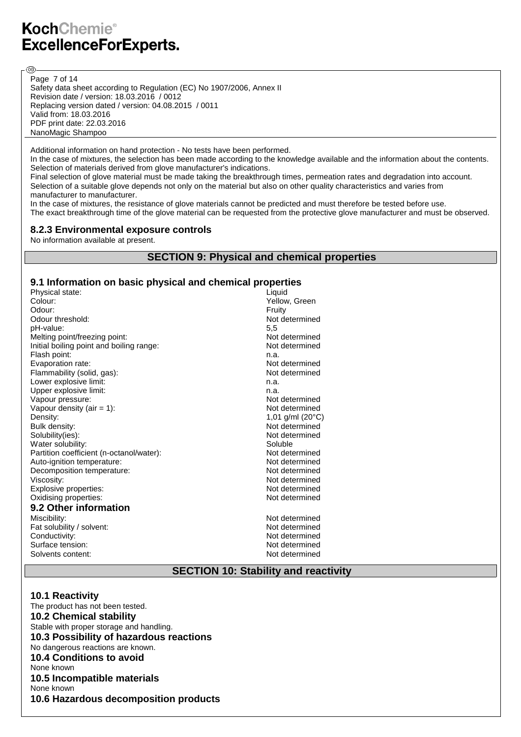Page 7 of 14

**ි**ව

Safety data sheet according to Regulation (EC) No 1907/2006, Annex II Revision date / version: 18.03.2016 / 0012 Replacing version dated / version: 04.08.2015 / 0011 Valid from: 18.03.2016 PDF print date: 22.03.2016 NanoMagic Shampoo

Additional information on hand protection - No tests have been performed.

In the case of mixtures, the selection has been made according to the knowledge available and the information about the contents. Selection of materials derived from glove manufacturer's indications.

Final selection of glove material must be made taking the breakthrough times, permeation rates and degradation into account. Selection of a suitable glove depends not only on the material but also on other quality characteristics and varies from manufacturer to manufacturer.

In the case of mixtures, the resistance of glove materials cannot be predicted and must therefore be tested before use. The exact breakthrough time of the glove material can be requested from the protective glove manufacturer and must be observed.

#### **8.2.3 Environmental exposure controls**

No information available at present.

### **SECTION 9: Physical and chemical properties**

#### **9.1 Information on basic physical and chemical properties**

| Physical state:                          | Liquid                    |
|------------------------------------------|---------------------------|
| Colour:                                  | Yellow. Green             |
| Odour:                                   | Fruity                    |
| Odour threshold:                         | Not determined            |
| pH-value:                                | 5.5                       |
| Melting point/freezing point:            | Not determined            |
| Initial boiling point and boiling range: | Not determined            |
| Flash point:                             | n.a.                      |
| Evaporation rate:                        | Not determined            |
| Flammability (solid, gas):               | Not determined            |
| Lower explosive limit:                   | n.a.                      |
| Upper explosive limit:                   | n.a.                      |
| Vapour pressure:                         | Not determined            |
| Vapour density (air $= 1$ ):             | Not determined            |
| Density:                                 | 1,01 g/ml $(20^{\circ}C)$ |
| Bulk density:                            | Not determined            |
| Solubility(ies):                         | Not determined            |
| Water solubility:                        | Soluble                   |
| Partition coefficient (n-octanol/water): | Not determined            |
| Auto-ignition temperature:               | Not determined            |
| Decomposition temperature:               | Not determined            |
| Viscosity:                               | Not determined            |
| Explosive properties:                    | Not determined            |
| Oxidising properties:                    | Not determined            |
| 9.2 Other information                    |                           |
| Miscibility:                             | Not determined            |
| Fat solubility / solvent:                | Not determined            |
| Conductivity:                            | Not determined            |
| Surface tension:                         | Not determined            |
| Solvents content:                        | Not determined            |

### **SECTION 10: Stability and reactivity**

#### **10.1 Reactivity**

The product has not been tested. **10.2 Chemical stability** Stable with proper storage and handling. **10.3 Possibility of hazardous reactions** No dangerous reactions are known. **10.4 Conditions to avoid** None known **10.5 Incompatible materials** None known **10.6 Hazardous decomposition products**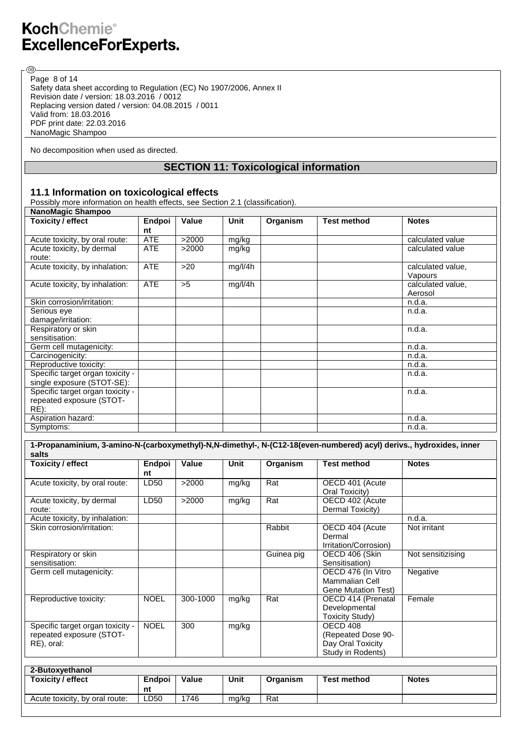®

Safety data sheet according to Regulation (EC) No 1907/2006, Annex II Revision date / version: 18.03.2016 / 0012 Replacing version dated / version: 04.08.2015 / 0011 Valid from: 18.03.2016 PDF print date: 22.03.2016 NanoMagic Shampoo Page 8 of 14

No decomposition when used as directed.

## **SECTION 11: Toxicological information**

### **11.1 Information on toxicological effects**

Possibly more information on health effects, see Section 2.1 (classification).

| NanoMagic Shampoo                |            |       |         |          |                    |                   |  |
|----------------------------------|------------|-------|---------|----------|--------------------|-------------------|--|
| <b>Toxicity / effect</b>         | Endpoi     | Value | Unit    | Organism | <b>Test method</b> | <b>Notes</b>      |  |
|                                  | nt         |       |         |          |                    |                   |  |
| Acute toxicity, by oral route:   | <b>ATE</b> | >2000 | mg/kg   |          |                    | calculated value  |  |
| Acute toxicity, by dermal        | <b>ATE</b> | >2000 | mg/kg   |          |                    | calculated value  |  |
| route:                           |            |       |         |          |                    |                   |  |
| Acute toxicity, by inhalation:   | <b>ATE</b> | >20   | mg/l/4h |          |                    | calculated value, |  |
|                                  |            |       |         |          |                    | Vapours           |  |
| Acute toxicity, by inhalation:   | <b>ATE</b> | >5    | mg/l/4h |          |                    | calculated value, |  |
|                                  |            |       |         |          |                    | Aerosol           |  |
| Skin corrosion/irritation:       |            |       |         |          |                    | n.d.a.            |  |
| Serious eye                      |            |       |         |          |                    | n.d.a.            |  |
| damage/irritation:               |            |       |         |          |                    |                   |  |
| Respiratory or skin              |            |       |         |          |                    | n.d.a.            |  |
| sensitisation:                   |            |       |         |          |                    |                   |  |
| Germ cell mutagenicity:          |            |       |         |          |                    | n.d.a.            |  |
| Carcinogenicity:                 |            |       |         |          |                    | n.d.a.            |  |
| Reproductive toxicity:           |            |       |         |          |                    | n.d.a.            |  |
| Specific target organ toxicity - |            |       |         |          |                    | n.d.a.            |  |
| single exposure (STOT-SE):       |            |       |         |          |                    |                   |  |
| Specific target organ toxicity - |            |       |         |          |                    | n.d.a.            |  |
| repeated exposure (STOT-         |            |       |         |          |                    |                   |  |
| $RE)$ :                          |            |       |         |          |                    |                   |  |
| Aspiration hazard:               |            |       |         |          |                    | n.d.a.            |  |
| Symptoms:                        |            |       |         |          |                    | n.d.a.            |  |

| <b>Toxicity / effect</b>                                                   | Endpoi<br>nt | Value    | Unit  | Organism   | <b>Test method</b>                                                        | <b>Notes</b>      |
|----------------------------------------------------------------------------|--------------|----------|-------|------------|---------------------------------------------------------------------------|-------------------|
| Acute toxicity, by oral route:                                             | LD50         | >2000    | mg/kg | Rat        | OECD 401 (Acute<br>Oral Toxicity)                                         |                   |
| Acute toxicity, by dermal<br>route:                                        | LD50         | >2000    | mg/kg | Rat        | OECD 402 (Acute<br>Dermal Toxicity)                                       |                   |
| Acute toxicity, by inhalation:                                             |              |          |       |            |                                                                           | n.d.a.            |
| Skin corrosion/irritation:                                                 |              |          |       | Rabbit     | OECD 404 (Acute<br>Dermal<br>Irritation/Corrosion)                        | Not irritant      |
| Respiratory or skin<br>sensitisation:                                      |              |          |       | Guinea pig | OECD 406 (Skin<br>Sensitisation)                                          | Not sensitizising |
| Germ cell mutagenicity:                                                    |              |          |       |            | OECD 476 (In Vitro<br><b>Mammalian Cell</b><br><b>Gene Mutation Test)</b> | Negative          |
| Reproductive toxicity:                                                     | <b>NOEL</b>  | 300-1000 | mg/kg | Rat        | OECD 414 (Prenatal<br>Developmental<br><b>Toxicity Study)</b>             | Female            |
| Specific target organ toxicity -<br>repeated exposure (STOT-<br>RE), oral: | <b>NOEL</b>  | 300      | mg/kg |            | OECD 408<br>(Repeated Dose 90-<br>Day Oral Toxicity<br>Study in Rodents)  |                   |

| 2-Butoxvethanol                |        |              |       |          |                    |              |
|--------------------------------|--------|--------------|-------|----------|--------------------|--------------|
| Toxicity / effect              | Endpoi | <b>Value</b> | Unit  | Organism | <b>Test method</b> | <b>Notes</b> |
|                                | nt     |              |       |          |                    |              |
| Acute toxicity, by oral route: | LD50   | 746          | mg/kg | Rat      |                    |              |
|                                |        |              |       |          |                    |              |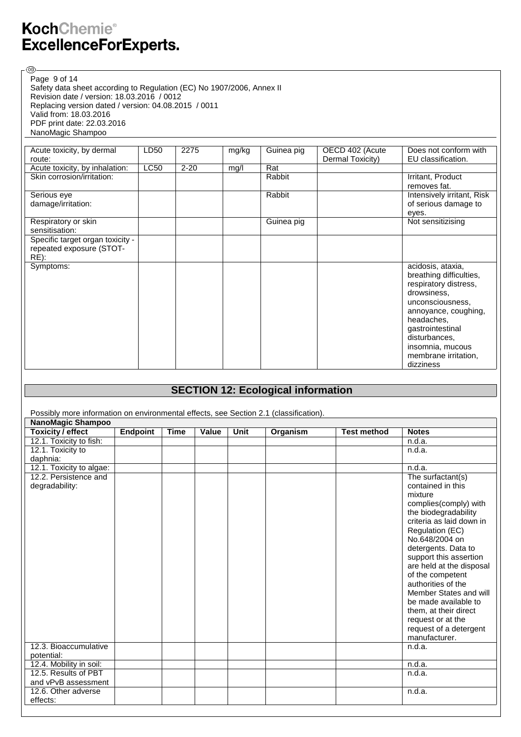®

Safety data sheet according to Regulation (EC) No 1907/2006, Annex II Revision date / version: 18.03.2016 / 0012 Replacing version dated / version: 04.08.2015 / 0011 Valid from: 18.03.2016 PDF print date: 22.03.2016 NanoMagic Shampoo Page 9 of 14

| Acute toxicity, by dermal        | LD50        | 2275     | mg/kg | Guinea pig | OECD 402 (Acute  | Does not conform with      |
|----------------------------------|-------------|----------|-------|------------|------------------|----------------------------|
| route:                           |             |          |       |            | Dermal Toxicity) | EU classification.         |
| Acute toxicity, by inhalation:   | <b>LC50</b> | $2 - 20$ | mg/l  | Rat        |                  |                            |
| Skin corrosion/irritation:       |             |          |       | Rabbit     |                  | Irritant, Product          |
|                                  |             |          |       |            |                  | removes fat.               |
| Serious eye                      |             |          |       | Rabbit     |                  | Intensively irritant, Risk |
| damage/irritation:               |             |          |       |            |                  | of serious damage to       |
|                                  |             |          |       |            |                  | eyes.                      |
| Respiratory or skin              |             |          |       | Guinea pig |                  | Not sensitizising          |
| sensitisation:                   |             |          |       |            |                  |                            |
| Specific target organ toxicity - |             |          |       |            |                  |                            |
| repeated exposure (STOT-         |             |          |       |            |                  |                            |
| RE):                             |             |          |       |            |                  |                            |
| Symptoms:                        |             |          |       |            |                  | acidosis, ataxia,          |
|                                  |             |          |       |            |                  | breathing difficulties,    |
|                                  |             |          |       |            |                  | respiratory distress,      |
|                                  |             |          |       |            |                  | drowsiness,                |
|                                  |             |          |       |            |                  | unconsciousness,           |
|                                  |             |          |       |            |                  | annoyance, coughing,       |
|                                  |             |          |       |            |                  | headaches,                 |
|                                  |             |          |       |            |                  | gastrointestinal           |
|                                  |             |          |       |            |                  | disturbances,              |
|                                  |             |          |       |            |                  | insomnia, mucous           |
|                                  |             |          |       |            |                  | membrane irritation,       |
|                                  |             |          |       |            |                  | dizziness                  |

## **SECTION 12: Ecological information**

Possibly more information on environmental effects, see Section 2.1 (classification).

| NanoMagic Shampoo        |                 |             |       |             |          |                    |                          |  |
|--------------------------|-----------------|-------------|-------|-------------|----------|--------------------|--------------------------|--|
| <b>Toxicity / effect</b> | <b>Endpoint</b> | <b>Time</b> | Value | <b>Unit</b> | Organism | <b>Test method</b> | <b>Notes</b>             |  |
| 12.1. Toxicity to fish:  |                 |             |       |             |          |                    | n.d.a.                   |  |
| 12.1. Toxicity to        |                 |             |       |             |          |                    | n.d.a.                   |  |
| daphnia:                 |                 |             |       |             |          |                    |                          |  |
| 12.1. Toxicity to algae: |                 |             |       |             |          |                    | n.d.a.                   |  |
| 12.2. Persistence and    |                 |             |       |             |          |                    | The surfactant(s)        |  |
| degradability:           |                 |             |       |             |          |                    | contained in this        |  |
|                          |                 |             |       |             |          |                    | mixture                  |  |
|                          |                 |             |       |             |          |                    | complies(comply) with    |  |
|                          |                 |             |       |             |          |                    | the biodegradability     |  |
|                          |                 |             |       |             |          |                    | criteria as laid down in |  |
|                          |                 |             |       |             |          |                    | Regulation (EC)          |  |
|                          |                 |             |       |             |          |                    | No.648/2004 on           |  |
|                          |                 |             |       |             |          |                    | detergents. Data to      |  |
|                          |                 |             |       |             |          |                    | support this assertion   |  |
|                          |                 |             |       |             |          |                    | are held at the disposal |  |
|                          |                 |             |       |             |          |                    | of the competent         |  |
|                          |                 |             |       |             |          |                    | authorities of the       |  |
|                          |                 |             |       |             |          |                    | Member States and will   |  |
|                          |                 |             |       |             |          |                    | be made available to     |  |
|                          |                 |             |       |             |          |                    | them, at their direct    |  |
|                          |                 |             |       |             |          |                    | request or at the        |  |
|                          |                 |             |       |             |          |                    | request of a detergent   |  |
|                          |                 |             |       |             |          |                    | manufacturer.            |  |
| 12.3. Bioaccumulative    |                 |             |       |             |          |                    | n.d.a.                   |  |
| potential:               |                 |             |       |             |          |                    |                          |  |
| 12.4. Mobility in soil:  |                 |             |       |             |          |                    | n.d.a.                   |  |
| 12.5. Results of PBT     |                 |             |       |             |          |                    | n.d.a.                   |  |
| and vPvB assessment      |                 |             |       |             |          |                    |                          |  |
| 12.6. Other adverse      |                 |             |       |             |          |                    | n.d.a.                   |  |
| effects:                 |                 |             |       |             |          |                    |                          |  |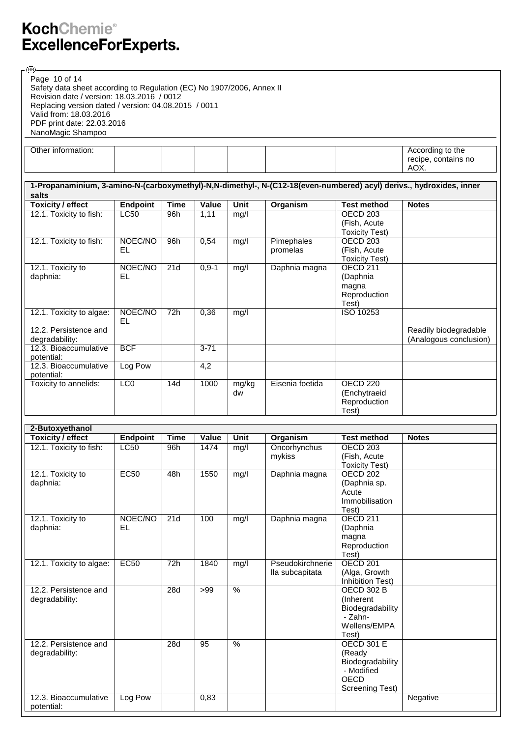®

Safety data sheet according to Regulation (EC) No 1907/2006, Annex II Revision date / version: 18.03.2016 / 0012 Replacing version dated / version: 04.08.2015 / 0011 Valid from: 18.03.2016 PDF print date: 22.03.2016 NanoMagic Shampoo Page 10 of 14

| Other information: |  |  |  | According to the    |
|--------------------|--|--|--|---------------------|
|                    |  |  |  | recipe, contains no |
|                    |  |  |  | $\sim$<br>AUX.      |

| 1-Propanaminium, 3-amino-N-(carboxymethyl)-N,N-dimethyl-, N-(C12-18(even-numbered) acyl) derivs., hydroxides, inner<br>salts |               |             |            |             |                 |                                     |                        |
|------------------------------------------------------------------------------------------------------------------------------|---------------|-------------|------------|-------------|-----------------|-------------------------------------|------------------------|
| <b>Toxicity / effect</b>                                                                                                     | Endpoint      | <b>Time</b> | Value      | <b>Unit</b> | Organism        | <b>Test method</b>                  | <b>Notes</b>           |
| 12.1. Toxicity to fish:                                                                                                      | <b>LC50</b>   | 96h         | 1,11       | mg/l        |                 | OECD <sub>203</sub>                 |                        |
|                                                                                                                              |               |             |            |             |                 | (Fish, Acute)                       |                        |
|                                                                                                                              |               |             |            |             |                 | Toxicity Test)                      |                        |
| 12.1. Toxicity to fish:                                                                                                      | NOEC/NO       | 96h         | 0,54       | mg/l        | Pimephales      | OECD <sub>203</sub>                 |                        |
|                                                                                                                              | EL            |             |            |             | promelas        | (Fish, Acute                        |                        |
|                                                                                                                              |               |             |            |             |                 | Toxicity Test)                      |                        |
| 12.1. Toxicity to                                                                                                            | NOEC/NO       | 21d         | $0, 9 - 1$ | mg/l        | Daphnia magna   | OECD <sub>211</sub>                 |                        |
| daphnia:                                                                                                                     | EL.           |             |            |             |                 | (Daphnia                            |                        |
|                                                                                                                              |               |             |            |             |                 | magna                               |                        |
|                                                                                                                              |               |             |            |             |                 | Reproduction                        |                        |
|                                                                                                                              |               |             |            |             |                 | Test)                               |                        |
| 12.1. Toxicity to algae:                                                                                                     | NOEC/NO<br>EL | 72h         | 0,36       | mg/l        |                 | ISO 10253                           |                        |
| 12.2. Persistence and                                                                                                        |               |             |            |             |                 |                                     | Readily biodegradable  |
| degradability:                                                                                                               |               |             |            |             |                 |                                     | (Analogous conclusion) |
| 12.3. Bioaccumulative                                                                                                        | <b>BCF</b>    |             | $3 - 71$   |             |                 |                                     |                        |
| potential:                                                                                                                   |               |             |            |             |                 |                                     |                        |
| 12.3. Bioaccumulative                                                                                                        | Log Pow       |             | 4,2        |             |                 |                                     |                        |
| potential:                                                                                                                   |               |             |            |             |                 |                                     |                        |
| Toxicity to annelids:                                                                                                        | LCO           | 14d         | 1000       | mg/kg<br>dw | Eisenia foetida | OECD <sub>220</sub><br>(Enchytraeid |                        |
|                                                                                                                              |               |             |            |             |                 | Reproduction                        |                        |
|                                                                                                                              |               |             |            |             |                 | Test)                               |                        |

| 2-Butoxyethanol          |             |             |       |               |                  |                       |              |
|--------------------------|-------------|-------------|-------|---------------|------------------|-----------------------|--------------|
| <b>Toxicity / effect</b> | Endpoint    | <b>Time</b> | Value | <b>Unit</b>   | Organism         | <b>Test method</b>    | <b>Notes</b> |
| 12.1. Toxicity to fish:  | <b>LC50</b> | 96h         | 1474  | mg/l          | Oncorhynchus     | OECD <sub>203</sub>   |              |
|                          |             |             |       |               | mykiss           | (Fish, Acute          |              |
|                          |             |             |       |               |                  | <b>Toxicity Test)</b> |              |
| 12.1. Toxicity to        | <b>EC50</b> | 48h         | 1550  | mg/l          | Daphnia magna    | OECD <sub>202</sub>   |              |
| daphnia:                 |             |             |       |               |                  | (Daphnia sp.          |              |
|                          |             |             |       |               |                  | Acute                 |              |
|                          |             |             |       |               |                  | Immobilisation        |              |
|                          |             |             |       |               |                  | Test)                 |              |
| 12.1. Toxicity to        | NOEC/NO     | 21d         | 100   | mg/l          | Daphnia magna    | OECD <sub>211</sub>   |              |
| daphnia:                 | <b>EL</b>   |             |       |               |                  | (Daphnia              |              |
|                          |             |             |       |               |                  | magna                 |              |
|                          |             |             |       |               |                  | Reproduction          |              |
|                          |             |             |       |               |                  | Test)                 |              |
| 12.1. Toxicity to algae: | <b>EC50</b> | 72h         | 1840  | mg/l          | Pseudokirchnerie | <b>OECD 201</b>       |              |
|                          |             |             |       |               | lla subcapitata  | (Alga, Growth         |              |
|                          |             |             |       |               |                  | Inhibition Test)      |              |
| 12.2. Persistence and    |             | 28d         | >99   | $\frac{9}{6}$ |                  | <b>OECD 302 B</b>     |              |
| degradability:           |             |             |       |               |                  | (Inherent             |              |
|                          |             |             |       |               |                  | Biodegradability      |              |
|                          |             |             |       |               |                  | - Zahn-               |              |
|                          |             |             |       |               |                  | Wellens/EMPA          |              |
|                          |             |             |       |               |                  | Test)                 |              |
| 12.2. Persistence and    |             | 28d         | 95    | $\%$          |                  | <b>OECD 301 E</b>     |              |
| degradability:           |             |             |       |               |                  | (Ready                |              |
|                          |             |             |       |               |                  | Biodegradability      |              |
|                          |             |             |       |               |                  | - Modified            |              |
|                          |             |             |       |               |                  | <b>OECD</b>           |              |
|                          |             |             |       |               |                  | Screening Test)       |              |
| 12.3. Bioaccumulative    | Log Pow     |             | 0,83  |               |                  |                       | Negative     |
| potential:               |             |             |       |               |                  |                       |              |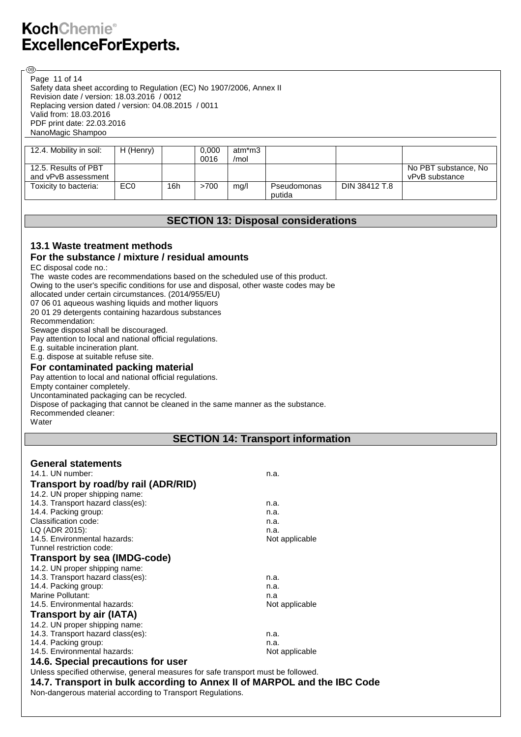@

Safety data sheet according to Regulation (EC) No 1907/2006, Annex II Revision date / version: 18.03.2016 / 0012 Replacing version dated / version: 04.08.2015 / 0011 Valid from: 18.03.2016 PDF print date: 22.03.2016 NanoMagic Shampoo Page 11 of 14

| 12.4. Mobility in soil:                     | H (Henry)       |     | 0.000<br>0016 | atm*m3<br>/mol |                       |               |                                        |
|---------------------------------------------|-----------------|-----|---------------|----------------|-----------------------|---------------|----------------------------------------|
| 12.5. Results of PBT<br>and vPvB assessment |                 |     |               |                |                       |               | No PBT substance, No<br>vPvB substance |
| Toxicity to bacteria:                       | EC <sub>0</sub> | 16h | >700          | mg/l           | Pseudomonas<br>putida | DIN 38412 T.8 |                                        |

## **SECTION 13: Disposal considerations**

#### **13.1 Waste treatment methods For the substance / mixture / residual amounts**

EC disposal code no.:

The waste codes are recommendations based on the scheduled use of this product.

Owing to the user's specific conditions for use and disposal, other waste codes may be

allocated under certain circumstances. (2014/955/EU)

07 06 01 aqueous washing liquids and mother liquors

20 01 29 detergents containing hazardous substances

Recommendation:

Sewage disposal shall be discouraged.

Pay attention to local and national official regulations.

E.g. suitable incineration plant.

E.g. dispose at suitable refuse site.

#### **For contaminated packing material**

#### Pay attention to local and national official regulations.

Empty container completely.

Uncontaminated packaging can be recycled.

Dispose of packaging that cannot be cleaned in the same manner as the substance.

Recommended cleaner:

#### **Water**

## **SECTION 14: Transport information**

| <b>General statements</b>                                                         |                |
|-----------------------------------------------------------------------------------|----------------|
| 14.1. UN number:                                                                  | n.a.           |
| Transport by road/by rail (ADR/RID)                                               |                |
| 14.2. UN proper shipping name:                                                    |                |
| 14.3. Transport hazard class(es):                                                 | n.a.           |
| 14.4. Packing group:                                                              | n.a.           |
| Classification code:                                                              | n.a.           |
| LQ (ADR 2015):                                                                    | n.a.           |
| 14.5. Environmental hazards:                                                      | Not applicable |
| Tunnel restriction code:                                                          |                |
| Transport by sea (IMDG-code)                                                      |                |
| 14.2. UN proper shipping name:                                                    |                |
| 14.3. Transport hazard class(es):                                                 | n.a.           |
| 14.4. Packing group:                                                              | n.a.           |
| Marine Pollutant:                                                                 | n.a            |
| 14.5. Environmental hazards:                                                      | Not applicable |
| Transport by air (IATA)                                                           |                |
| 14.2. UN proper shipping name:                                                    |                |
| 14.3. Transport hazard class(es):                                                 | n.a.           |
| 14.4. Packing group:                                                              | n.a.           |
| 14.5. Environmental hazards:                                                      | Not applicable |
| 14.6. Special precautions for user                                                |                |
| Unless specified otherwise, general measures for safe transport must be followed. |                |
| 14.7. Transport in bulk according to Annex II of MARPOL and the IBC Code          |                |

Non-dangerous material according to Transport Regulations.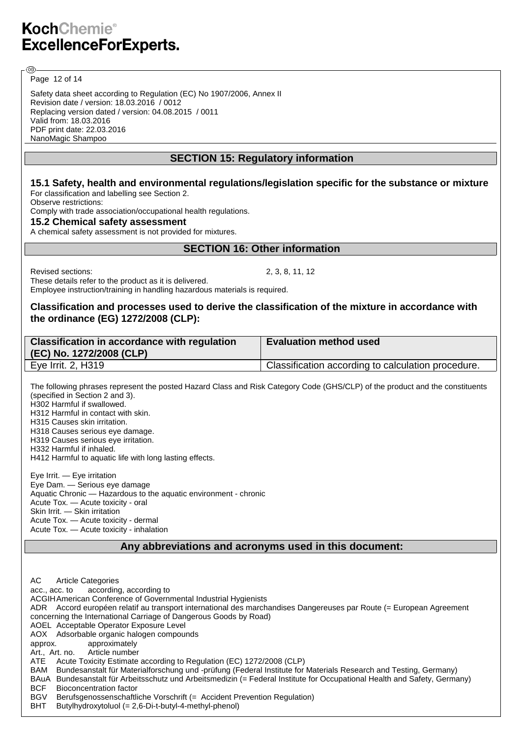Page 12 of 14

@ි

Safety data sheet according to Regulation (EC) No 1907/2006, Annex II Revision date / version: 18.03.2016 / 0012 Replacing version dated / version: 04.08.2015 / 0011 Valid from: 18.03.2016 PDF print date: 22.03.2016 NanoMagic Shampoo

## **SECTION 15: Regulatory information**

#### **15.1 Safety, health and environmental regulations/legislation specific for the substance or mixture** For classification and labelling see Section 2.

Observe restrictions:

Comply with trade association/occupational health regulations.

### **15.2 Chemical safety assessment**

A chemical safety assessment is not provided for mixtures.

## **SECTION 16: Other information**

Revised sections: 2, 3, 8, 11, 12

These details refer to the product as it is delivered.

Employee instruction/training in handling hazardous materials is required.

#### **Classification and processes used to derive the classification of the mixture in accordance with the ordinance (EG) 1272/2008 (CLP):**

| Classification in accordance with regulation<br>(EC) No. 1272/2008 (CLP) | <b>Evaluation method used</b>                      |
|--------------------------------------------------------------------------|----------------------------------------------------|
| Eye Irrit. 2, H319                                                       | Classification according to calculation procedure. |

The following phrases represent the posted Hazard Class and Risk Category Code (GHS/CLP) of the product and the constituents (specified in Section 2 and 3). H302 Harmful if swallowed.

H312 Harmful in contact with skin.

H315 Causes skin irritation.

H318 Causes serious eye damage. H319 Causes serious eye irritation.

H332 Harmful if inhaled.

H412 Harmful to aquatic life with long lasting effects.

Eye Irrit. — Eye irritation Eye Dam. — Serious eye damage Aquatic Chronic — Hazardous to the aquatic environment - chronic Acute Tox. — Acute toxicity - oral Skin Irrit. - Skin irritation Acute Tox. — Acute toxicity - dermal Acute Tox. — Acute toxicity - inhalation

**Any abbreviations and acronyms used in this document:**

AC Article Categories acc., acc. to according, according to ACGIHAmerican Conference of Governmental Industrial Hygienists ADR Accord européen relatif au transport international des marchandises Dangereuses par Route (= European Agreement concerning the International Carriage of Dangerous Goods by Road) AOEL Acceptable Operator Exposure Level AOX Adsorbable organic halogen compounds approx. approximately Art., Art. no. Article number ATE Acute Toxicity Estimate according to Regulation (EC) 1272/2008 (CLP) BAM Bundesanstalt für Materialforschung und -prüfung (Federal Institute for Materials Research and Testing, Germany) BAuA Bundesanstalt für Arbeitsschutz und Arbeitsmedizin (= Federal Institute for Occupational Health and Safety, Germany) BCF Bioconcentration factor BGV Berufsgenossenschaftliche Vorschrift (= Accident Prevention Regulation)

BHT Butylhydroxytoluol (= 2,6-Di-t-butyl-4-methyl-phenol)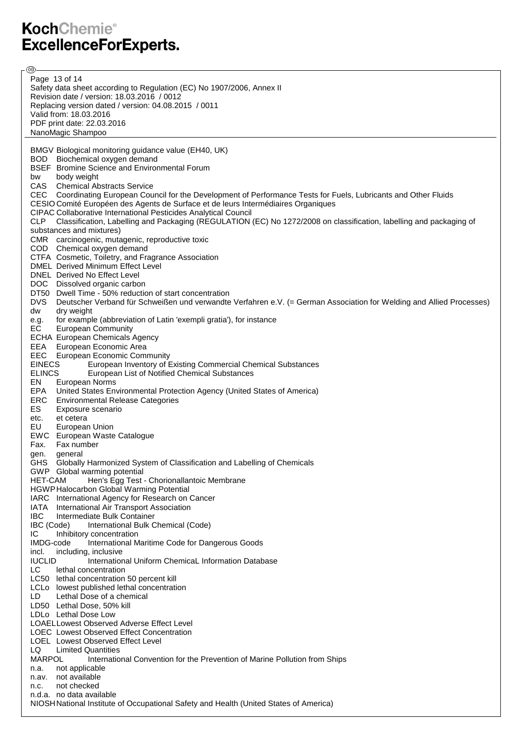**ි**ව Page 13 of 14Safety data sheet according to Regulation (EC) No 1907/2006, Annex II Revision date / version: 18.03.2016 / 0012 Replacing version dated / version: 04.08.2015 / 0011 Valid from: 18.03.2016 PDF print date: 22.03.2016 NanoMagic Shampoo BMGV Biological monitoring guidance value (EH40, UK) BOD Biochemical oxygen demand BSEF Bromine Science and Environmental Forum bw body weight CAS Chemical Abstracts Service CEC Coordinating European Council for the Development of Performance Tests for Fuels, Lubricants and Other Fluids CESIO Comité Européen des Agents de Surface et de leurs Intermédiaires Organiques CIPAC Collaborative International Pesticides Analytical Council CLP Classification, Labelling and Packaging (REGULATION (EC) No 1272/2008 on classification, labelling and packaging of substances and mixtures) CMR carcinogenic, mutagenic, reproductive toxic COD Chemical oxygen demand CTFA Cosmetic, Toiletry, and Fragrance Association DMEL Derived Minimum Effect Level DNEL Derived No Effect Level DOC Dissolved organic carbon DT50 Dwell Time - 50% reduction of start concentration DVS Deutscher Verband für Schweißen und verwandte Verfahren e.V. (= German Association for Welding and Allied Processes) dw dry weight e.g. for example (abbreviation of Latin 'exempli gratia'), for instance EC European Community ECHA European Chemicals Agency EEA European Economic Area EEC European Economic Community<br>EINECS European Inventory of E European Inventory of Existing Commercial Chemical Substances ELINCS European List of Notified Chemical Substances EN European Norms<br>EPA United States Ent **United States Environmental Protection Agency (United States of America)** ERC Environmental Release Categories ES Exposure scenario etc. et cetera EU European Union EWC European Waste Catalogue Fax. Fax number gen. general GHS Globally Harmonized System of Classification and Labelling of Chemicals GWP Global warming potential<br>HET-CAM Hen's Egg Test Hen's Egg Test - Chorionallantoic Membrane HGWPHalocarbon Global Warming Potential IARC International Agency for Research on Cancer IATA International Air Transport Association **IBC** Intermediate Bulk Container<br>**IBC** (Code) International Bulk C International Bulk Chemical (Code) IC Inhibitory concentration IMDG-code International Maritime Code for Dangerous Goods incl. including, inclusive **IUCLID** International Uniform ChemicaL Information Database LC lethal concentration LC50 lethal concentration 50 percent kill LCLo lowest published lethal concentration LD Lethal Dose of a chemical LD50 Lethal Dose, 50% kill LDLo Lethal Dose Low LOAELLowest Observed Adverse Effect Level LOEC Lowest Observed Effect Concentration LOEL Lowest Observed Effect Level LQ Limited Quantities<br>
MARPOL lnternatio International Convention for the Prevention of Marine Pollution from Ships n.a. not applicable n.av. not available n.c. not checked n.d.a. no data available NIOSHNational Institute of Occupational Safety and Health (United States of America)